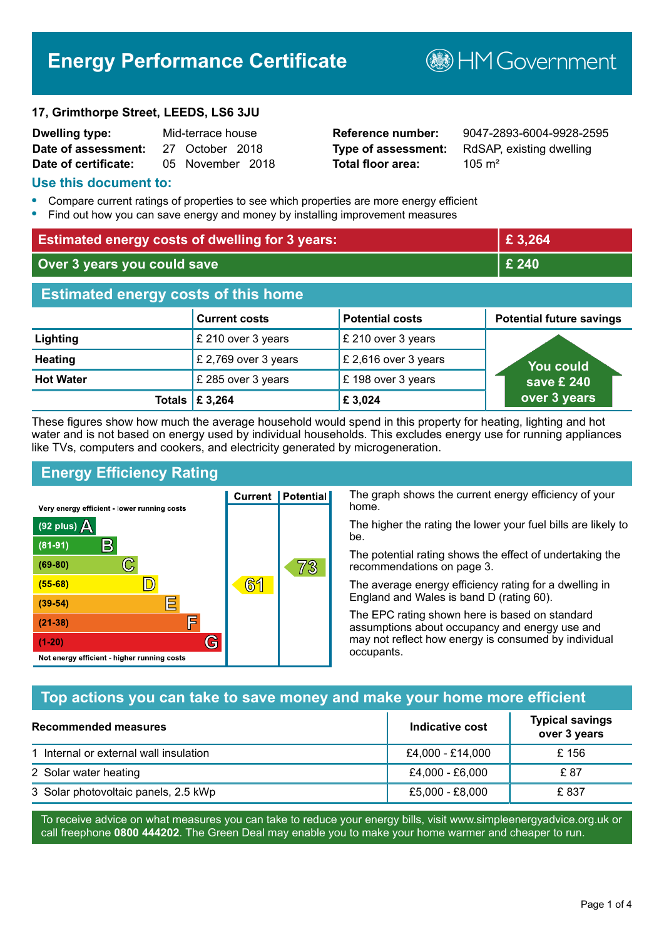## **Energy Performance Certificate**

# **B**HM Government

#### **17, Grimthorpe Street, LEEDS, LS6 3JU**

| <b>Dwelling type:</b> | Mid-terrace house |                  |  |
|-----------------------|-------------------|------------------|--|
| Date of assessment:   |                   | 27 October 2018  |  |
| Date of certificate:  |                   | 05 November 2018 |  |

**Total floor area:** 105 m<sup>2</sup>

**Reference number:** 9047-2893-6004-9928-2595 **Type of assessment:** RdSAP, existing dwelling

#### **Use this document to:**

- **•** Compare current ratings of properties to see which properties are more energy efficient
- **•** Find out how you can save energy and money by installing improvement measures

| <b>Estimated energy costs of dwelling for 3 years:</b> |                      |                        | £3,264                          |
|--------------------------------------------------------|----------------------|------------------------|---------------------------------|
| Over 3 years you could save                            |                      | £ 240                  |                                 |
| <b>Estimated energy costs of this home</b>             |                      |                        |                                 |
|                                                        | <b>Current costs</b> | <b>Potential costs</b> | <b>Potential future savings</b> |
| Lighting                                               | £ 210 over 3 years   | £ 210 over 3 years     |                                 |
| <b>Heating</b>                                         | £ 2,769 over 3 years | £ 2,616 over 3 years   | You could                       |
| <b>Hot Water</b>                                       | £ 285 over 3 years   | £198 over 3 years      | save £ 240                      |
| Totals I                                               | £ 3,264              | £3,024                 | over 3 years                    |

These figures show how much the average household would spend in this property for heating, lighting and hot water and is not based on energy used by individual households. This excludes energy use for running appliances like TVs, computers and cookers, and electricity generated by microgeneration.

**Current | Potential** 

 $61$ 

## **Energy Efficiency Rating**

C

 $\mathbb{D}$ 

E

庐

G

Very energy efficient - lower running costs

 $\mathsf{R}% _{T}$ 

Not energy efficient - higher running costs

 $(92$  plus)

 $(81 - 91)$  $(69 - 80)$ 

 $(55-68)$ 

 $(39 - 54)$ 

 $(21-38)$ 

 $(1-20)$ 

- 78

The graph shows the current energy efficiency of your home.

The higher the rating the lower your fuel bills are likely to be.

The potential rating shows the effect of undertaking the recommendations on page 3.

The average energy efficiency rating for a dwelling in England and Wales is band D (rating 60).

The EPC rating shown here is based on standard assumptions about occupancy and energy use and may not reflect how energy is consumed by individual occupants.

## **Top actions you can take to save money and make your home more efficient**

73

| <b>Recommended measures</b>            | Indicative cost  | <b>Typical savings</b><br>over 3 years |
|----------------------------------------|------------------|----------------------------------------|
| 1 Internal or external wall insulation | £4,000 - £14,000 | £156                                   |
| 2 Solar water heating                  | £4,000 - £6,000  | £ 87                                   |
| 3 Solar photovoltaic panels, 2.5 kWp   | £5,000 - £8,000  | £837                                   |

To receive advice on what measures you can take to reduce your energy bills, visit www.simpleenergyadvice.org.uk or call freephone **0800 444202**. The Green Deal may enable you to make your home warmer and cheaper to run.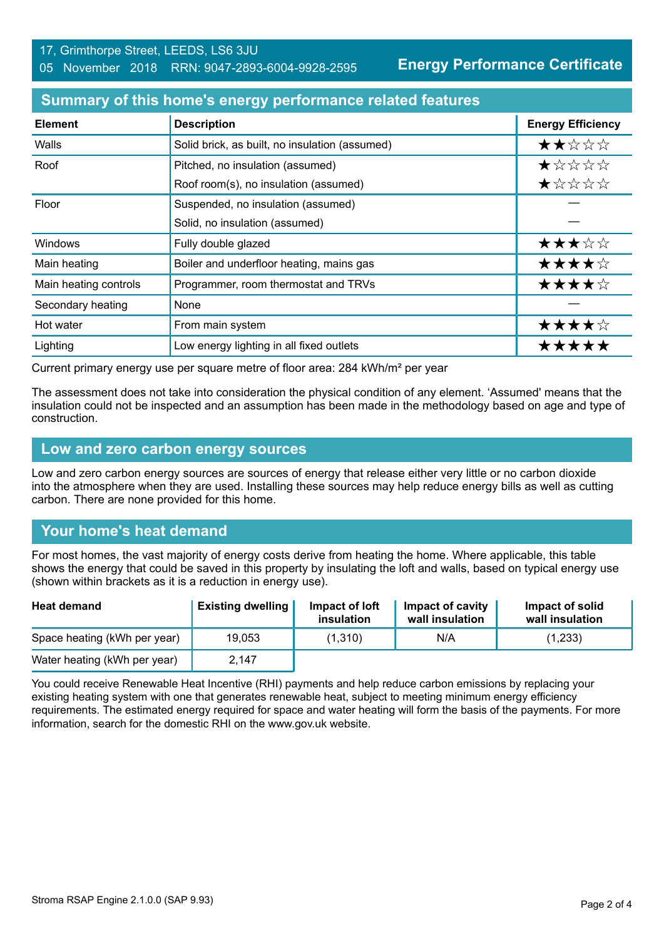**Energy Performance Certificate**

#### **Summary of this home's energy performance related features**

| <b>Element</b>        | <b>Description</b>                             | <b>Energy Efficiency</b> |
|-----------------------|------------------------------------------------|--------------------------|
| Walls                 | Solid brick, as built, no insulation (assumed) | ★★☆☆☆                    |
| Roof                  | Pitched, no insulation (assumed)               | *****                    |
|                       | Roof room(s), no insulation (assumed)          | ★☆☆☆☆                    |
| Floor                 | Suspended, no insulation (assumed)             |                          |
|                       | Solid, no insulation (assumed)                 |                          |
| Windows               | Fully double glazed                            | ★★★☆☆                    |
| Main heating          | Boiler and underfloor heating, mains gas       | ★★★★☆                    |
| Main heating controls | Programmer, room thermostat and TRVs           | ★★★★☆                    |
| Secondary heating     | None                                           |                          |
| Hot water             | From main system                               | ★★★★☆                    |
| Lighting              | Low energy lighting in all fixed outlets       | *****                    |

Current primary energy use per square metre of floor area: 284 kWh/m² per year

The assessment does not take into consideration the physical condition of any element. 'Assumed' means that the insulation could not be inspected and an assumption has been made in the methodology based on age and type of construction.

#### **Low and zero carbon energy sources**

Low and zero carbon energy sources are sources of energy that release either very little or no carbon dioxide into the atmosphere when they are used. Installing these sources may help reduce energy bills as well as cutting carbon. There are none provided for this home.

## **Your home's heat demand**

For most homes, the vast majority of energy costs derive from heating the home. Where applicable, this table shows the energy that could be saved in this property by insulating the loft and walls, based on typical energy use (shown within brackets as it is a reduction in energy use).

| <b>Heat demand</b>           | <b>Existing dwelling</b> | Impact of loft<br>insulation | Impact of cavity<br>wall insulation | Impact of solid<br>wall insulation |
|------------------------------|--------------------------|------------------------------|-------------------------------------|------------------------------------|
| Space heating (kWh per year) | 19.053                   | (1,310)                      | N/A                                 | (1,233)                            |
| Water heating (kWh per year) | 2,147                    |                              |                                     |                                    |

You could receive Renewable Heat Incentive (RHI) payments and help reduce carbon emissions by replacing your existing heating system with one that generates renewable heat, subject to meeting minimum energy efficiency requirements. The estimated energy required for space and water heating will form the basis of the payments. For more information, search for the domestic RHI on the www.gov.uk website.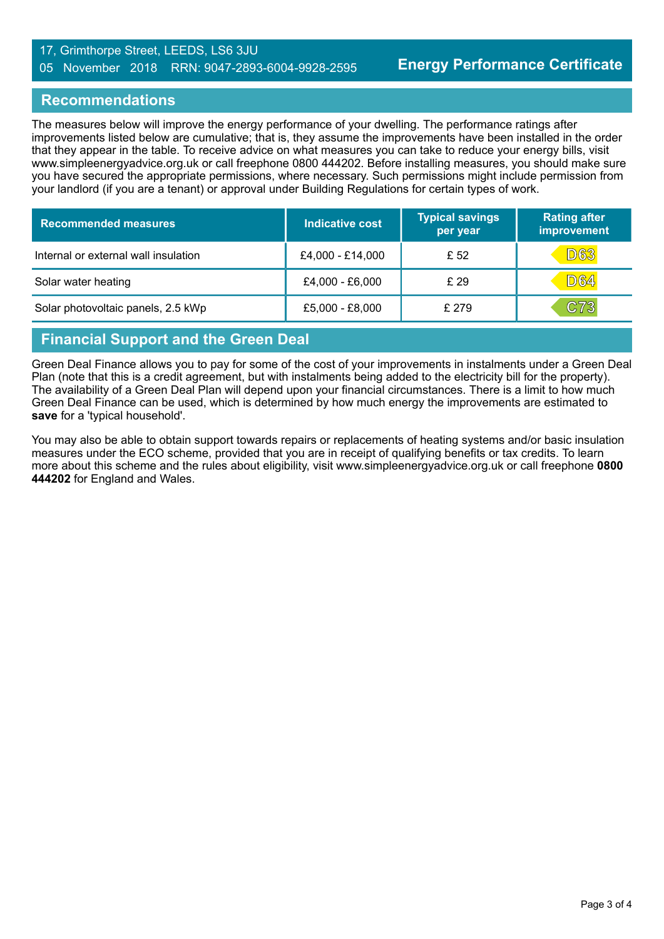#### 17, Grimthorpe Street, LEEDS, LS6 3JU 05 November 2018 RRN: 9047-2893-6004-9928-2595

#### **Recommendations**

The measures below will improve the energy performance of your dwelling. The performance ratings after improvements listed below are cumulative; that is, they assume the improvements have been installed in the order that they appear in the table. To receive advice on what measures you can take to reduce your energy bills, visit www.simpleenergyadvice.org.uk or call freephone 0800 444202. Before installing measures, you should make sure you have secured the appropriate permissions, where necessary. Such permissions might include permission from your landlord (if you are a tenant) or approval under Building Regulations for certain types of work.

| <b>Recommended measures</b>          | Indicative cost  | <b>Typical savings</b><br>per year | <b>Rating after</b><br>improvement |
|--------------------------------------|------------------|------------------------------------|------------------------------------|
| Internal or external wall insulation | £4,000 - £14,000 | £ 52                               | <b>D63</b>                         |
| Solar water heating                  | £4,000 - £6,000  | £ 29                               | <b>D64</b>                         |
| Solar photovoltaic panels, 2.5 kWp   | £5,000 - £8,000  | £ 279                              | C73                                |

## **Financial Support and the Green Deal**

Green Deal Finance allows you to pay for some of the cost of your improvements in instalments under a Green Deal Plan (note that this is a credit agreement, but with instalments being added to the electricity bill for the property). The availability of a Green Deal Plan will depend upon your financial circumstances. There is a limit to how much Green Deal Finance can be used, which is determined by how much energy the improvements are estimated to **save** for a 'typical household'.

You may also be able to obtain support towards repairs or replacements of heating systems and/or basic insulation measures under the ECO scheme, provided that you are in receipt of qualifying benefits or tax credits. To learn more about this scheme and the rules about eligibility, visit www.simpleenergyadvice.org.uk or call freephone **0800 444202** for England and Wales.